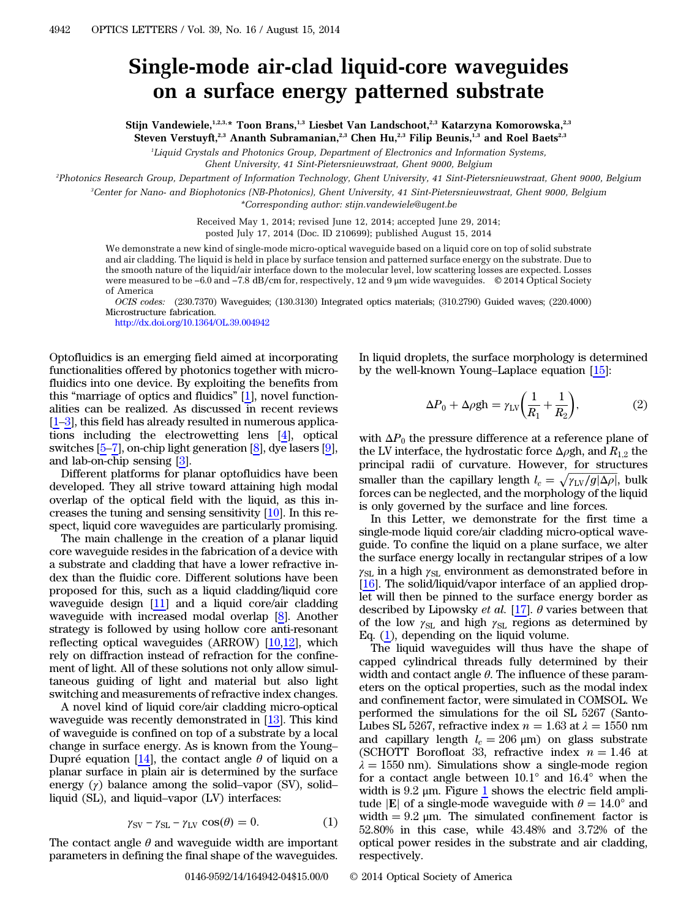## Single-mode air-clad liquid-core waveguides on a surface energy patterned substrate

Stijn Vandewiele,<sup>1,2,3,\*</sup> Toon Brans,<sup>1,3</sup> Liesbet Van Landschoot,<sup>2,3</sup> Katarzyna Komorowska,<sup>2,3</sup> Steven Verstuyft,<sup>2,3</sup> Ananth Subramanian,<sup>2,3</sup> Chen Hu,<sup>2,3</sup> Filip Beunis,<sup>1,3</sup> and Roel Baets<sup>2,3</sup>

<sup>1</sup>Liquid Crystals and Photonics Group, Department of Electronics and Information Systems,

Ghent University, 41 Sint-Pietersnieuwstraat, Ghent 9000, Belgium

2 Photonics Research Group, Department of Information Technology, Ghent University, 41 Sint-Pietersnieuwstraat, Ghent 9000, Belgium

3 Center for Nano- and Biophotonics (NB-Photonics), Ghent University, 41 Sint-Pietersnieuwstraat, Ghent 9000, Belgium

\*Corresponding author: stijn.vandewiele@ugent.be

Received May 1, 2014; revised June 12, 2014; accepted June 29, 2014; posted July 17, 2014 (Doc. ID 210699); published August 15, 2014

We demonstrate a new kind of single-mode micro-optical waveguide based on a liquid core on top of solid substrate and air cladding. The liquid is held in place by surface tension and patterned surface energy on the substrate. Due to the smooth nature of the liquid/air interface down to the molecular level, low scattering losses are expected. Losses were measured to be −6.0 and −7.8 dB∕cm for, respectively, 12 and 9 μm wide waveguides. © 2014 Optical Society of America

OCIS codes: (230.7370) Waveguides; (130.3130) Integrated optics materials; (310.2790) Guided waves; (220.4000) Microstructure fabrication.

<http://dx.doi.org/10.1364/OL.39.004942>

Optofluidics is an emerging field aimed at incorporating functionalities offered by photonics together with microfluidics into one device. By exploiting the benefits from this "marriage of optics and fluidics" [[1\]](#page-3-0), novel functionalities can be realized. As discussed in recent reviews [\[1](#page-3-0)–[3](#page-3-1)], this field has already resulted in numerous applications including the electrowetting lens [[4\]](#page-3-2), optical switches [\[5](#page-3-3)–[7](#page-3-4)], on-chip light generation [\[8](#page-3-5)], dye lasers [\[9](#page-3-6)], and lab-on-chip sensing [[3\]](#page-3-1).

Different platforms for planar optofluidics have been developed. They all strive toward attaining high modal overlap of the optical field with the liquid, as this increases the tuning and sensing sensitivity [[10\]](#page-3-7). In this respect, liquid core waveguides are particularly promising.

The main challenge in the creation of a planar liquid core waveguide resides in the fabrication of a device with a substrate and cladding that have a lower refractive index than the fluidic core. Different solutions have been proposed for this, such as a liquid cladding/liquid core waveguide design [\[11\]](#page-3-8) and a liquid core/air cladding waveguide with increased modal overlap [\[8](#page-3-5)]. Another strategy is followed by using hollow core anti-resonant reflecting optical waveguides (ARROW) [[10](#page-3-7)[,12](#page-3-9)], which rely on diffraction instead of refraction for the confinement of light. All of these solutions not only allow simultaneous guiding of light and material but also light switching and measurements of refractive index changes.

A novel kind of liquid core/air cladding micro-optical waveguide was recently demonstrated in [\[13](#page-3-10)]. This kind of waveguide is confined on top of a substrate by a local change in surface energy. As is known from the Young– Dupré equation [[14\]](#page-3-11), the contact angle  $\theta$  of liquid on a planar surface in plain air is determined by the surface balar surface in plain air is determined by the surface<br>energy (γ) balance among the solid–vapor (SV), solid–<br>liquid (SL), and liquid–vapor (LV) interfaces:<br> $\gamma_{SV} - \gamma_{SL} - \gamma_{LV} \cos(\theta) = 0.$  (1) liquid (SL), and liquid–vapor (LV) interfaces:

$$
\gamma_{SV} - \gamma_{SL} - \gamma_{LV} \cos(\theta) = 0. \tag{1}
$$

<span id="page-0-0"></span>The contact angle  $\theta$  and waveguide width are important parameters in defining the final shape of the waveguides.

In liquid droplets, the surface morphology is determined by the well-known Young–Laplace equation [[15\]](#page-3-12):

$$
\Delta P_0 + \Delta \rho g h = \gamma_{\rm LV} \bigg( \frac{1}{R_1} + \frac{1}{R_2} \bigg),\tag{2}
$$

with  $\Delta P_0$  the pressure difference at a reference plane of the LV interface, the hydrostatic force  $\Delta \rho gh$ , and  $R_{1,2}$  the principal radii of curvature. However, for structures smaller than the capillary length  $l_c = \sqrt{\gamma_{LV}/g |\Delta \rho|}$ , bulk<br>forces can be neglected, and the morphology of the liquid forces can be neglected, and the morphology of the liquid is only governed by the surface and line forces.

In this Letter, we demonstrate for the first time a single-mode liquid core/air cladding micro-optical waveguide. To confine the liquid on a plane surface, we alter the surface energy locally in rectangular stripes of a low  $\gamma_{\rm SL}$  in a high  $\gamma_{\rm SL}$  environment as demonstrated before in [\[16](#page-3-13)]. The solid/liquid/vapor interface of an applied droplet will then be pinned to the surface energy border as described by Lipowsky *et al.* [[17\]](#page-3-14).  $\theta$  varies between that of the low  $\gamma_{SL}$  and high  $\gamma_{SL}$  regions as determined by Eq. ([1\)](#page-0-0), depending on the liquid volume.

The liquid waveguides will thus have the shape of capped cylindrical threads fully determined by their width and contact angle  $\theta$ . The influence of these parameters on the optical properties, such as the modal index and confinement factor, were simulated in COMSOL. We performed the simulations for the oil SL 5267 (Santo-Lubes SL 5267, refractive index  $n = 1.63$  at  $\lambda = 1550$  nm and capillary length  $l_c = 206 \text{ }\mu\text{m}$  on glass substrate (SCHOTT Borofloat 33, refractive index  $n = 1.46$  at  $\lambda = 1550$  nm). Simulations show a single-mode region for a contact angle between 10.1° and 16.4° when the width is 9.2  $\mu$ m. Figure  $1$  shows the electric field amplitude |E| of a single-mode waveguide with  $\theta = 14.0^{\circ}$  and width  $= 9.2$  μm. The simulated confinement factor is 52.80% in this case, while 43.48% and 3.72% of the optical power resides in the substrate and air cladding, respectively.

0146-9592/14/164942-04\$15.00/0 © 2014 Optical Society of America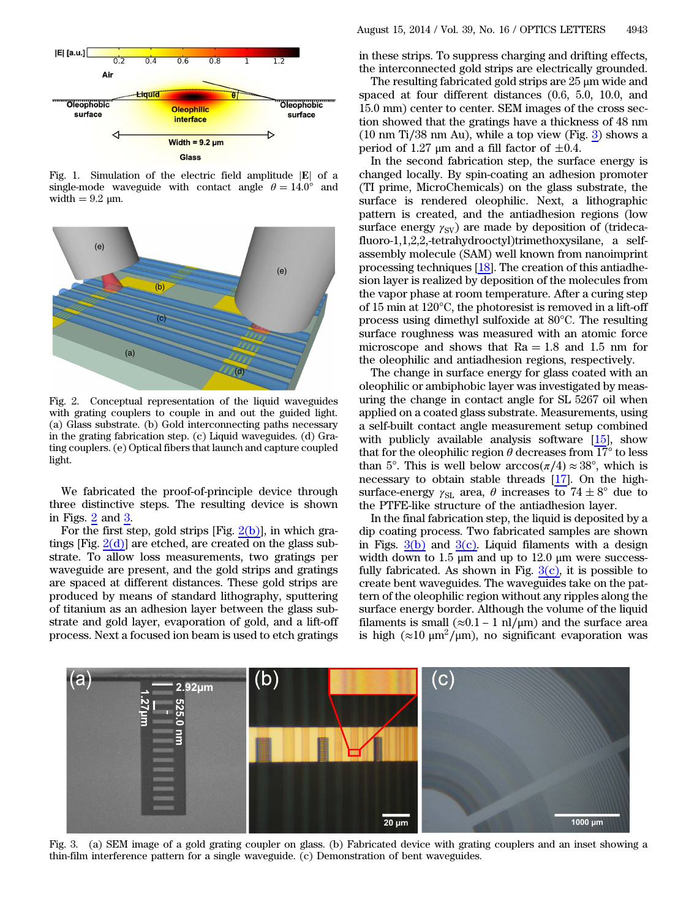<span id="page-1-0"></span>

Fig. 1. Simulation of the electric field amplitude  $|E|$  of a single-mode waveguide with contact angle  $\theta = 14.0^{\circ}$  and width  $= 9.2 \mu m$ .

<span id="page-1-1"></span>

Fig. 2. Conceptual representation of the liquid waveguides with grating couplers to couple in and out the guided light. (a) Glass substrate. (b) Gold interconnecting paths necessary in the grating fabrication step. (c) Liquid waveguides. (d) Grating couplers. (e) Optical fibers that launch and capture coupled light.

We fabricated the proof-of-principle device through three distinctive steps. The resulting device is shown in Figs. [2](#page-1-1) and [3](#page-1-2).

For the first step, gold strips [Fig.  $2(b)$ ], in which gratings [Fig.  $2(d)$ ] are etched, are created on the glass substrate. To allow loss measurements, two gratings per waveguide are present, and the gold strips and gratings are spaced at different distances. These gold strips are produced by means of standard lithography, sputtering of titanium as an adhesion layer between the glass substrate and gold layer, evaporation of gold, and a lift-off process. Next a focused ion beam is used to etch gratings

in these strips. To suppress charging and drifting effects, the interconnected gold strips are electrically grounded.

The resulting fabricated gold strips are 25 μm wide and spaced at four different distances (0.6, 5.0, 10.0, and 15.0 mm) center to center. SEM images of the cross section showed that the gratings have a thickness of 48 nm (10 nm Ti∕38 nm Au), while a top view (Fig. [3](#page-1-2)) shows a period of 1.27  $\mu$ m and a fill factor of  $\pm 0.4$ .

In the second fabrication step, the surface energy is changed locally. By spin-coating an adhesion promoter (TI prime, MicroChemicals) on the glass substrate, the surface is rendered oleophilic. Next, a lithographic pattern is created, and the antiadhesion regions (low surface energy  $\gamma_{SV}$ ) are made by deposition of (tridecafluoro-1,1,2,2,-tetrahydrooctyl)trimethoxysilane, a selfassembly molecule (SAM) well known from nanoimprint processing techniques [[18\]](#page-3-15). The creation of this antiadhesion layer is realized by deposition of the molecules from the vapor phase at room temperature. After a curing step of 15 min at 120°C, the photoresist is removed in a lift-off process using dimethyl sulfoxide at 80°C. The resulting surface roughness was measured with an atomic force microscope and shows that  $Ra = 1.8$  and 1.5 nm for the oleophilic and antiadhesion regions, respectively.

The change in surface energy for glass coated with an oleophilic or ambiphobic layer was investigated by measuring the change in contact angle for SL 5267 oil when applied on a coated glass substrate. Measurements, using a self-built contact angle measurement setup combined with publicly available analysis software [[15\]](#page-3-12), show that for the oleophilic region  $\theta$  decreases from 17 $\degree$  to less than 5°. This is well below  $arccos(\pi/4) \approx 38^\circ$ , which is necessary to obtain stable threads [[17\]](#page-3-14). On the highsurface-energy  $\gamma_{SL}$  area,  $\theta$  increases to  $74 \pm 8^{\circ}$  due to the PTFE-like structure of the antiadhesion layer.

In the final fabrication step, the liquid is deposited by a dip coating process. Two fabricated samples are shown in Figs.  $3(b)$  and  $3(c)$ . Liquid filaments with a design width down to  $1.5 \mu m$  and up to  $12.0 \mu m$  were successfully fabricated. As shown in Fig.  $3(c)$ , it is possible to create bent waveguides. The waveguides take on the pattern of the oleophilic region without any ripples along the surface energy border. Although the volume of the liquid filaments is small ( $\approx$ 0.1 – 1 nl/ $\mu$ m) and the surface area is high ( $\approx$ 10 μm<sup>2</sup>/μm), no significant evaporation was

<span id="page-1-2"></span>

Fig. 3. (a) SEM image of a gold grating coupler on glass. (b) Fabricated device with grating couplers and an inset showing a thin-film interference pattern for a single waveguide. (c) Demonstration of bent waveguides.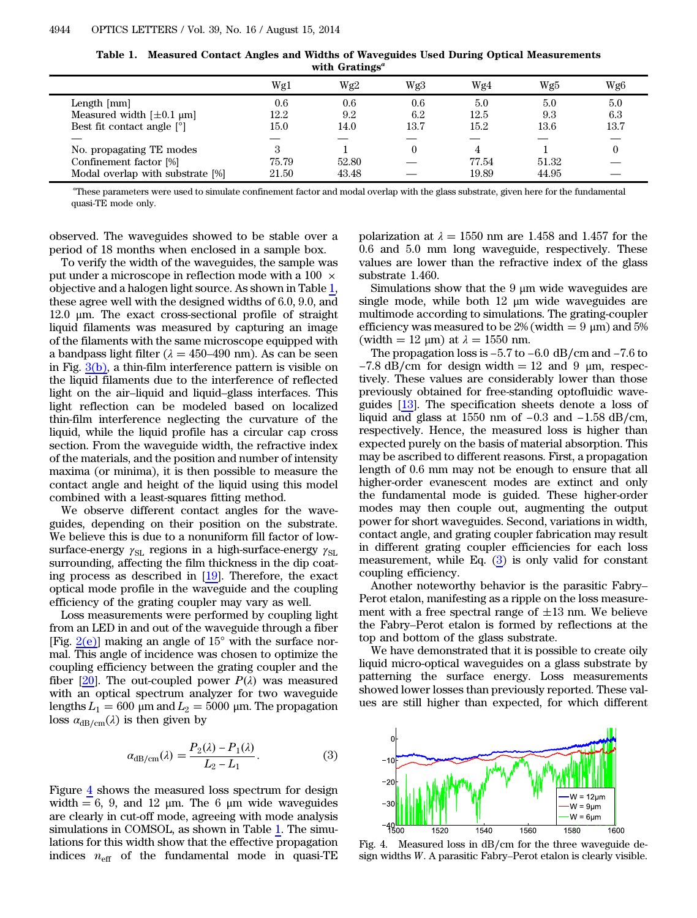| Table 1. | Measured Contact Angles and Widths of Waveguides Used During Optical Measurements |
|----------|-----------------------------------------------------------------------------------|
|          | with Gratings <sup>a</sup>                                                        |

<span id="page-2-0"></span>

|                                  | Wg1   | Wg2   | Wg3  | Wg4   | Wg5   | Wg <sub>6</sub> |
|----------------------------------|-------|-------|------|-------|-------|-----------------|
| Length [mm]                      | 0.6   | 0.6   | 0.6  | 5.0   | 5.0   | 5.0             |
| Measured width $[\pm 0.1 \mu m]$ | 12.2  | 9.2   | 6.2  | 12.5  | 9.3   | 6.3             |
| Best fit contact angle $[°]$     | 15.0  | 14.0  | 13.7 | 15.2  | 13.6  | 13.7            |
|                                  |       |       |      |       |       |                 |
| No. propagating TE modes         | 3     |       |      |       |       |                 |
| Confinement factor [%]           | 75.79 | 52.80 |      | 77.54 | 51.32 |                 |
| Modal overlap with substrate [%] | 21.50 | 43.48 |      | 19.89 | 44.95 |                 |
|                                  |       |       |      |       |       |                 |

a These parameters were used to simulate confinement factor and modal overlap with the glass substrate, given here for the fundamental quasi-TE mode only.

observed. The waveguides showed to be stable over a period of 18 months when enclosed in a sample box.

To verify the width of the waveguides, the sample was put under a microscope in reflection mode with a 100  $\times$ objective and a halogen light source. As shown in Table [1,](#page-2-0) these agree well with the designed widths of 6.0, 9.0, and 12.0 μm. The exact cross-sectional profile of straight liquid filaments was measured by capturing an image of the filaments with the same microscope equipped with a bandpass light filter ( $\lambda = 450{\text -}490$  nm). As can be seen in Fig. [3\(b\)](#page-1-2), a thin-film interference pattern is visible on the liquid filaments due to the interference of reflected light on the air–liquid and liquid–glass interfaces. This light reflection can be modeled based on localized thin-film interference neglecting the curvature of the liquid, while the liquid profile has a circular cap cross section. From the waveguide width, the refractive index of the materials, and the position and number of intensity maxima (or minima), it is then possible to measure the contact angle and height of the liquid using this model combined with a least-squares fitting method.

We observe different contact angles for the waveguides, depending on their position on the substrate. We believe this is due to a nonuniform fill factor of lowsurface-energy  $\gamma_{\rm SL}$  regions in a high-surface-energy  $\gamma_{\rm SL}$ surrounding, affecting the film thickness in the dip coating process as described in [\[19](#page-3-16)]. Therefore, the exact optical mode profile in the waveguide and the coupling efficiency of the grating coupler may vary as well.

Loss measurements were performed by coupling light from an LED in and out of the waveguide through a fiber [Fig.  $2(e)$ ] making an angle of  $15^{\circ}$  with the surface normal. This angle of incidence was chosen to optimize the coupling efficiency between the grating coupler and the fiber  $[20]$  $[20]$ . The out-coupled power  $P(\lambda)$  was measured with an optical spectrum analyzer for two waveguide with an optical spectrum analyzer for two waveguide lengths  $L_1 = 600 \mu m$  and  $L_2 = 5000 \mu m$ . The propagation<br>loss  $\alpha_{dB/cm}(\lambda)$  is then given by<br> $\alpha_{dB/cm}(\lambda) = \frac{P_2(\lambda) - P_1(\lambda)}{I - I}$ . (3) loss  $\alpha_{dB/cm}(\lambda)$  is then given by

<span id="page-2-2"></span>is then given by  

$$
\alpha_{\text{dB/cm}}(\lambda) = \frac{P_2(\lambda) - P_1(\lambda)}{L_2 - L_1}.
$$
(3)

Figure [4](#page-2-1) shows the measured loss spectrum for design width  $= 6, 9,$  and 12 μm. The 6 μm wide waveguides are clearly in cut-off mode, agreeing with mode analysis simulations in COMSOL, as shown in Table [1](#page-2-0). The simulations for this width show that the effective propagation indices  $n_{\text{eff}}$  of the fundamental mode in quasi-TE polarization at  $\lambda = 1550$  nm are 1.458 and 1.457 for the 0.6 and 5.0 mm long waveguide, respectively. These values are lower than the refractive index of the glass substrate 1.460.

Simulations show that the  $9 \mu m$  wide waveguides are single mode, while both 12 μm wide waveguides are multimode according to simulations. The grating-coupler efficiency was measured to be  $2\%$  (width  $= 9 \mu m$ ) and  $5\%$ (width = 12  $\mu$ m) at  $\lambda = 1550$  nm.

The propagation loss is <sup>−</sup>5.<sup>7</sup> to <sup>−</sup>6.<sup>0</sup> dB∕cm and <sup>−</sup>7.<sup>6</sup> to  $-7.8$  dB/cm for design width  $= 12$  and 9 µm, respectively. These values are considerably lower than those previously obtained for free-standing optofluidic waveguides [\[13](#page-3-10)]. The specification sheets denote a loss of liquid and glass at 1550 nm of  $-1.5$  and  $\sigma$  pm, respectively. These values are considerably lower than those previously obtained for free-standing optofluidic waveguides [13]. The specification sheets denote a loss of respectively. Hence, the measured loss is higher than expected purely on the basis of material absorption. This may be ascribed to different reasons. First, a propagation length of 0.6 mm may not be enough to ensure that all higher-order evanescent modes are extinct and only the fundamental mode is guided. These higher-order modes may then couple out, augmenting the output power for short waveguides. Second, variations in width, contact angle, and grating coupler fabrication may result in different grating coupler efficiencies for each loss measurement, while Eq.  $(3)$  $(3)$  is only valid for constant coupling efficiency.

Another noteworthy behavior is the parasitic Fabry– Perot etalon, manifesting as a ripple on the loss measurement with a free spectral range of  $\pm 13$  nm. We believe the Fabry–Perot etalon is formed by reflections at the top and bottom of the glass substrate.

We have demonstrated that it is possible to create oily liquid micro-optical waveguides on a glass substrate by patterning the surface energy. Loss measurements showed lower losses than previously reported. These values are still higher than expected, for which different

<span id="page-2-1"></span>

Fig. 4. Measured loss in dB∕cm for the three waveguide design widths W. A parasitic Fabry–Perot etalon is clearly visible.